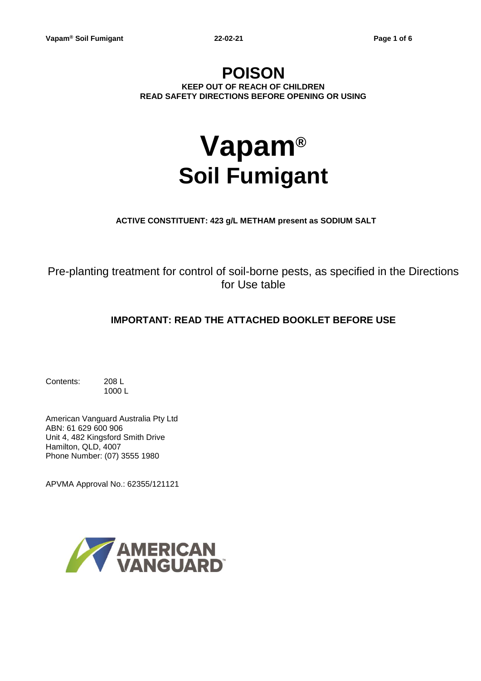# **POISON KEEP OUT OF REACH OF CHILDREN READ SAFETY DIRECTIONS BEFORE OPENING OR USING**

# **Vapam® Soil Fumigant**

**ACTIVE CONSTITUENT: 423 g/L METHAM present as SODIUM SALT**

Pre-planting treatment for control of soil-borne pests, as specified in the Directions for Use table

# **IMPORTANT: READ THE ATTACHED BOOKLET BEFORE USE**

Contents: 208 L 1000 L

American Vanguard Australia Pty Ltd ABN: 61 629 600 906 Unit 4, 482 Kingsford Smith Drive Hamilton, QLD, 4007 Phone Number: (07) 3555 1980

APVMA Approval No.: 62355/121121

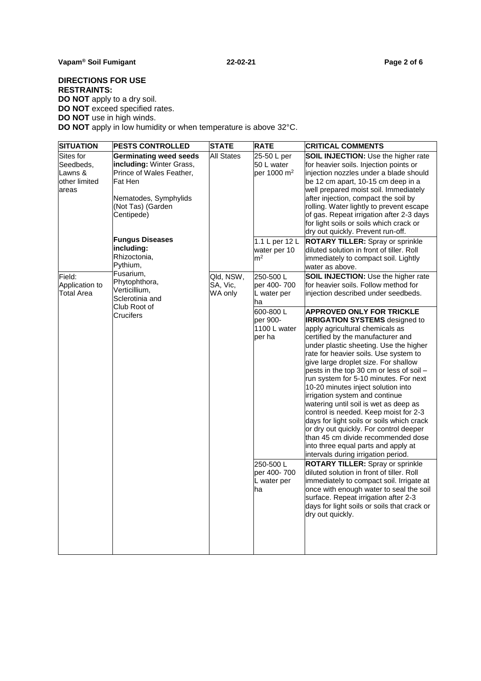# **DIRECTIONS FOR USE RESTRAINTS: DO NOT** apply to a dry soil. **DO NOT** exceed specified rates.

**DO NOT** use in high winds.

**DO NOT** apply in low humidity or when temperature is above 32°C.

| <b>SITUATION</b>                                            | <b>PESTS CONTROLLED</b>                                                                                                                                      | <b>STATE</b>                     | <b>RATE</b>                                      | <b>CRITICAL COMMENTS</b>                                                                                                                                                                                                                                                                                                                                                                                                                                                                                                                                                                                                                                                                                                                |
|-------------------------------------------------------------|--------------------------------------------------------------------------------------------------------------------------------------------------------------|----------------------------------|--------------------------------------------------|-----------------------------------------------------------------------------------------------------------------------------------------------------------------------------------------------------------------------------------------------------------------------------------------------------------------------------------------------------------------------------------------------------------------------------------------------------------------------------------------------------------------------------------------------------------------------------------------------------------------------------------------------------------------------------------------------------------------------------------------|
| Sites for<br>Seedbeds,<br>Lawns &<br>other limited<br>areas | Germinating weed seeds<br><b>including:</b> Winter Grass,<br>Prince of Wales Feather,<br>Fat Hen<br>Nematodes, Symphylids<br>(Not Tas) (Garden<br>Centipede) | <b>All States</b>                | 25-50 L per<br>50 L water<br>per 1000 $m2$       | <b>SOIL INJECTION: Use the higher rate</b><br>for heavier soils. Injection points or<br>linjection nozzles under a blade should<br>be 12 cm apart, 10-15 cm deep in a<br>well prepared moist soil. Immediately<br>after injection, compact the soil by<br>rolling. Water lightly to prevent escape<br>of gas. Repeat irrigation after 2-3 days<br>for light soils or soils which crack or<br>dry out quickly. Prevent run-off.                                                                                                                                                                                                                                                                                                          |
|                                                             | <b>Fungus Diseases</b><br>including:<br>Rhizoctonia,<br>Pythium,                                                                                             |                                  | 1.1 L per 12 L<br>water per 10<br>m <sup>2</sup> | <b>ROTARY TILLER: Spray or sprinkle</b><br>diluted solution in front of tiller. Roll<br>immediately to compact soil. Lightly<br>water as above.                                                                                                                                                                                                                                                                                                                                                                                                                                                                                                                                                                                         |
| Field:<br>Application to<br><b>Total Area</b>               | Fusarium,<br>Phytophthora,<br>Verticillium.<br>Sclerotinia and<br>Club Root of<br>Crucifers                                                                  | Qld, NSW,<br>SA, Vic,<br>WA only | 250-500L<br>per 400-700<br>L water per<br>ha     | <b>SOIL INJECTION: Use the higher rate</b><br>for heavier soils. Follow method for<br>injection described under seedbeds.                                                                                                                                                                                                                                                                                                                                                                                                                                                                                                                                                                                                               |
|                                                             |                                                                                                                                                              |                                  | 600-800L<br>per 900-<br>1100 L water<br>per ha   | <b>APPROVED ONLY FOR TRICKLE</b><br><b>IRRIGATION SYSTEMS</b> designed to<br>apply agricultural chemicals as<br>certified by the manufacturer and<br>under plastic sheeting. Use the higher<br>rate for heavier soils. Use system to<br>give large droplet size. For shallow<br>pests in the top 30 cm or less of soil -<br>run system for 5-10 minutes. For next<br>10-20 minutes inject solution into<br>irrigation system and continue<br>watering until soil is wet as deep as<br>control is needed. Keep moist for 2-3<br>days for light soils or soils which crack<br>or dry out quickly. For control deeper<br>lthan 45 cm divide recommended dose<br>into three equal parts and apply at<br>intervals during irrigation period. |
|                                                             |                                                                                                                                                              |                                  | 250-500L<br>per 400-700<br>L water per<br>ha     | <b>ROTARY TILLER:</b> Spray or sprinkle<br>diluted solution in front of tiller. Roll<br>immediately to compact soil. Irrigate at<br>once with enough water to seal the soil<br>surface. Repeat irrigation after 2-3<br>days for light soils or soils that crack or<br>dry out quickly.                                                                                                                                                                                                                                                                                                                                                                                                                                                  |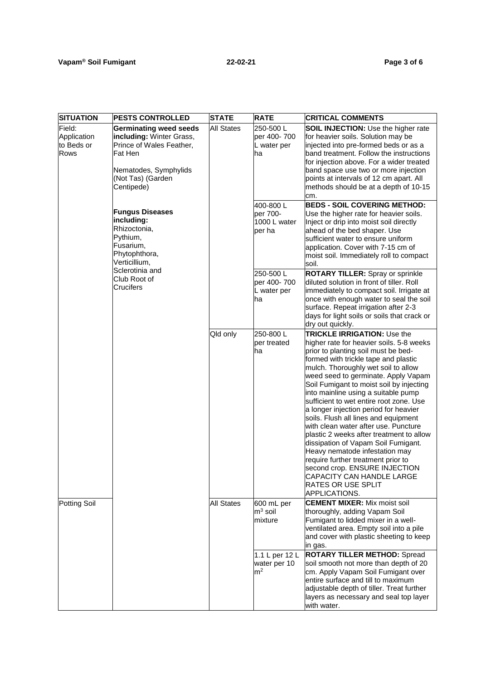| <b>SITUATION</b>                                   | <b>PESTS CONTROLLED</b>                                                                                                                                      | <b>STATE</b>                                 | <b>RATE</b>                                                                                                                                                                                                                                                                            | <b>CRITICAL COMMENTS</b>                                                                                                                                                                                                                                                                                                                                                                                                                                                                                                                                                                                                                                                                                                                                                  |
|----------------------------------------------------|--------------------------------------------------------------------------------------------------------------------------------------------------------------|----------------------------------------------|----------------------------------------------------------------------------------------------------------------------------------------------------------------------------------------------------------------------------------------------------------------------------------------|---------------------------------------------------------------------------------------------------------------------------------------------------------------------------------------------------------------------------------------------------------------------------------------------------------------------------------------------------------------------------------------------------------------------------------------------------------------------------------------------------------------------------------------------------------------------------------------------------------------------------------------------------------------------------------------------------------------------------------------------------------------------------|
| Field:<br>Application<br>to Beds or<br><b>Rows</b> | <b>Germinating weed seeds</b><br>including: Winter Grass,<br>Prince of Wales Feather,<br>Fat Hen<br>Nematodes, Symphylids<br>(Not Tas) (Garden<br>Centipede) | <b>All States</b>                            | 250-500L<br>per 400-700<br>L water per<br>ha                                                                                                                                                                                                                                           | <b>SOIL INJECTION: Use the higher rate</b><br>for heavier soils. Solution may be<br>injected into pre-formed beds or as a<br>band treatment. Follow the instructions<br>for injection above. For a wider treated<br>band space use two or more injection<br>points at intervals of 12 cm apart. All<br>methods should be at a depth of 10-15<br>cm.                                                                                                                                                                                                                                                                                                                                                                                                                       |
|                                                    | <b>Fungus Diseases</b><br>including:<br>Rhizoctonia,<br>Pythium,<br>Fusarium,<br>Phytophthora,<br>Verticillium,                                              |                                              | 400-800L<br>per 700-<br>1000 L water<br>per ha                                                                                                                                                                                                                                         | <b>BEDS - SOIL COVERING METHOD:</b><br>Use the higher rate for heavier soils.<br>Inject or drip into moist soil directly<br>ahead of the bed shaper. Use<br>sufficient water to ensure uniform<br>application. Cover with 7-15 cm of<br>moist soil. Immediately roll to compact<br>soil.                                                                                                                                                                                                                                                                                                                                                                                                                                                                                  |
| Sclerotinia and<br>Club Root of<br>Crucifers       |                                                                                                                                                              | 250-500L<br>per 400-700<br>L water per<br>ha | <b>ROTARY TILLER:</b> Spray or sprinkle<br>diluted solution in front of tiller. Roll<br>immediately to compact soil. Irrigate at<br>once with enough water to seal the soil<br>surface. Repeat irrigation after 2-3<br>days for light soils or soils that crack or<br>dry out quickly. |                                                                                                                                                                                                                                                                                                                                                                                                                                                                                                                                                                                                                                                                                                                                                                           |
|                                                    |                                                                                                                                                              | Qld only                                     | 250-800L<br>per treated<br>ha                                                                                                                                                                                                                                                          | <b>TRICKLE IRRIGATION: Use the</b><br>higher rate for heavier soils. 5-8 weeks<br>prior to planting soil must be bed-<br>formed with trickle tape and plastic<br>mulch. Thoroughly wet soil to allow<br>weed seed to germinate. Apply Vapam<br>Soil Fumigant to moist soil by injecting<br>into mainline using a suitable pump<br>sufficient to wet entire root zone. Use<br>a longer injection period for heavier<br>soils. Flush all lines and equipment<br>with clean water after use. Puncture<br>plastic 2 weeks after treatment to allow<br>dissipation of Vapam Soil Fumigant.<br>Heavy nematode infestation may<br>require further treatment prior to<br>second crop. ENSURE INJECTION<br><b>CAPACITY CAN HANDLE LARGE</b><br>RATES OR USE SPLIT<br>APPLICATIONS. |
| Potting Soil                                       |                                                                                                                                                              | <b>All States</b>                            | 600 mL per<br>$\mathsf{m}^3$ soil<br>mixture                                                                                                                                                                                                                                           | <b>CEMENT MIXER: Mix moist soil</b><br>thoroughly, adding Vapam Soil<br>Fumigant to lidded mixer in a well-<br>ventilated area. Empty soil into a pile<br>and cover with plastic sheeting to keep<br>in gas.                                                                                                                                                                                                                                                                                                                                                                                                                                                                                                                                                              |
|                                                    |                                                                                                                                                              |                                              | 1.1 L per 12 L<br>water per 10<br>m <sup>2</sup>                                                                                                                                                                                                                                       | <b>ROTARY TILLER METHOD: Spread</b><br>soil smooth not more than depth of 20<br>cm. Apply Vapam Soil Fumigant over<br>entire surface and till to maximum<br>adjustable depth of tiller. Treat further<br>layers as necessary and seal top layer<br>with water.                                                                                                                                                                                                                                                                                                                                                                                                                                                                                                            |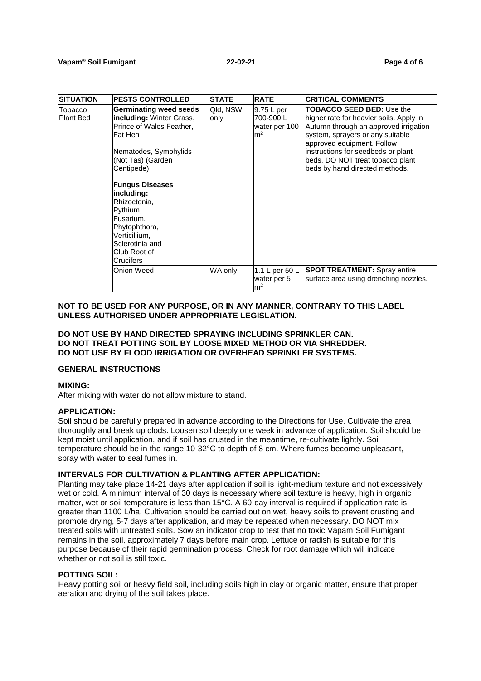| <b>SITUATION</b>     | <b>PESTS CONTROLLED</b>                                                                                                                                                                                                                                                                                                                 | <b>STATE</b>     | <b>RATE</b>                                               | <b>CRITICAL COMMENTS</b>                                                                                                                                                                                                                                                                           |
|----------------------|-----------------------------------------------------------------------------------------------------------------------------------------------------------------------------------------------------------------------------------------------------------------------------------------------------------------------------------------|------------------|-----------------------------------------------------------|----------------------------------------------------------------------------------------------------------------------------------------------------------------------------------------------------------------------------------------------------------------------------------------------------|
| Tobacco<br>Plant Bed | Germinating weed seeds<br><b>including:</b> Winter Grass,<br>Prince of Wales Feather,<br>lFat Hen<br>Nematodes, Symphylids<br>(Not Tas) (Garden<br>Centipede)<br><b>Fungus Diseases</b><br>including:<br>Rhizoctonia,<br>Pythium,<br>Fusarium,<br>Phytophthora,<br>Verticillium,<br>Sclerotinia and<br>Club Root of<br><b>Crucifers</b> | Qld, NSW<br>only | 9.75 L per<br>700-900L<br>water per 100<br>m <sup>2</sup> | <b>TOBACCO SEED BED: Use the</b><br>higher rate for heavier soils. Apply in<br>Autumn through an approved irrigation<br>system, sprayers or any suitable<br>approved equipment. Follow<br>instructions for seedbeds or plant<br>beds. DO NOT treat tobacco plant<br>beds by hand directed methods. |
|                      | Onion Weed                                                                                                                                                                                                                                                                                                                              | WA only          | 1.1 L per 50 L<br>water per 5<br>m <sup>2</sup>           | <b>SPOT TREATMENT:</b> Spray entire<br>surface area using drenching nozzles.                                                                                                                                                                                                                       |

# **NOT TO BE USED FOR ANY PURPOSE, OR IN ANY MANNER, CONTRARY TO THIS LABEL UNLESS AUTHORISED UNDER APPROPRIATE LEGISLATION.**

## **DO NOT USE BY HAND DIRECTED SPRAYING INCLUDING SPRINKLER CAN. DO NOT TREAT POTTING SOIL BY LOOSE MIXED METHOD OR VIA SHREDDER. DO NOT USE BY FLOOD IRRIGATION OR OVERHEAD SPRINKLER SYSTEMS.**

# **GENERAL INSTRUCTIONS**

#### **MIXING:**

After mixing with water do not allow mixture to stand.

#### **APPLICATION:**

Soil should be carefully prepared in advance according to the Directions for Use. Cultivate the area thoroughly and break up clods. Loosen soil deeply one week in advance of application. Soil should be kept moist until application, and if soil has crusted in the meantime, re-cultivate lightly. Soil temperature should be in the range 10-32°C to depth of 8 cm. Where fumes become unpleasant, spray with water to seal fumes in.

#### **INTERVALS FOR CULTIVATION & PLANTING AFTER APPLICATION:**

Planting may take place 14-21 days after application if soil is light-medium texture and not excessively wet or cold. A minimum interval of 30 days is necessary where soil texture is heavy, high in organic matter, wet or soil temperature is less than 15°C. A 60-day interval is required if application rate is greater than 1100 L/ha. Cultivation should be carried out on wet, heavy soils to prevent crusting and promote drying, 5-7 days after application, and may be repeated when necessary. DO NOT mix treated soils with untreated soils. Sow an indicator crop to test that no toxic Vapam Soil Fumigant remains in the soil, approximately 7 days before main crop. Lettuce or radish is suitable for this purpose because of their rapid germination process. Check for root damage which will indicate whether or not soil is still toxic.

#### **POTTING SOIL:**

Heavy potting soil or heavy field soil, including soils high in clay or organic matter, ensure that proper aeration and drying of the soil takes place.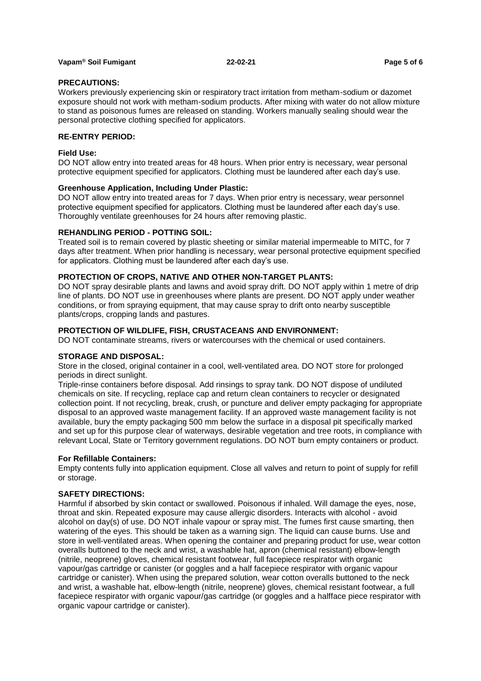## **Vapam® Soil Fumigant 22-02-21 Page 5 of 6**

## **PRECAUTIONS:**

Workers previously experiencing skin or respiratory tract irritation from metham-sodium or dazomet exposure should not work with metham-sodium products. After mixing with water do not allow mixture to stand as poisonous fumes are released on standing. Workers manually sealing should wear the personal protective clothing specified for applicators.

# **RE-ENTRY PERIOD:**

## **Field Use:**

DO NOT allow entry into treated areas for 48 hours. When prior entry is necessary, wear personal protective equipment specified for applicators. Clothing must be laundered after each day's use.

#### **Greenhouse Application, Including Under Plastic:**

DO NOT allow entry into treated areas for 7 days. When prior entry is necessary, wear personnel protective equipment specified for applicators. Clothing must be laundered after each day's use. Thoroughly ventilate greenhouses for 24 hours after removing plastic.

#### **REHANDLING PERIOD - POTTING SOIL:**

Treated soil is to remain covered by plastic sheeting or similar material impermeable to MITC, for 7 days after treatment. When prior handling is necessary, wear personal protective equipment specified for applicators. Clothing must be laundered after each day's use.

#### **PROTECTION OF CROPS, NATIVE AND OTHER NON-TARGET PLANTS:**

DO NOT spray desirable plants and lawns and avoid spray drift. DO NOT apply within 1 metre of drip line of plants. DO NOT use in greenhouses where plants are present. DO NOT apply under weather conditions, or from spraying equipment, that may cause spray to drift onto nearby susceptible plants/crops, cropping lands and pastures.

#### **PROTECTION OF WILDLIFE, FISH, CRUSTACEANS AND ENVIRONMENT:**

DO NOT contaminate streams, rivers or watercourses with the chemical or used containers.

#### **STORAGE AND DISPOSAL:**

Store in the closed, original container in a cool, well-ventilated area. DO NOT store for prolonged periods in direct sunlight.

Triple-rinse containers before disposal. Add rinsings to spray tank. DO NOT dispose of undiluted chemicals on site. If recycling, replace cap and return clean containers to recycler or designated collection point. If not recycling, break, crush, or puncture and deliver empty packaging for appropriate disposal to an approved waste management facility. If an approved waste management facility is not available, bury the empty packaging 500 mm below the surface in a disposal pit specifically marked and set up for this purpose clear of waterways, desirable vegetation and tree roots, in compliance with relevant Local, State or Territory government regulations. DO NOT burn empty containers or product.

#### **For Refillable Containers:**

Empty contents fully into application equipment. Close all valves and return to point of supply for refill or storage.

# **SAFETY DIRECTIONS:**

Harmful if absorbed by skin contact or swallowed. Poisonous if inhaled. Will damage the eyes, nose, throat and skin. Repeated exposure may cause allergic disorders. Interacts with alcohol - avoid alcohol on day(s) of use. DO NOT inhale vapour or spray mist. The fumes first cause smarting, then watering of the eyes. This should be taken as a warning sign. The liquid can cause burns. Use and store in well-ventilated areas. When opening the container and preparing product for use, wear cotton overalls buttoned to the neck and wrist, a washable hat, apron (chemical resistant) elbow-length (nitrile, neoprene) gloves, chemical resistant footwear, full facepiece respirator with organic vapour/gas cartridge or canister (or goggles and a half facepiece respirator with organic vapour cartridge or canister). When using the prepared solution, wear cotton overalls buttoned to the neck and wrist, a washable hat, elbow-length (nitrile, neoprene) gloves, chemical resistant footwear, a full facepiece respirator with organic vapour/gas cartridge (or goggles and a halfface piece respirator with organic vapour cartridge or canister).